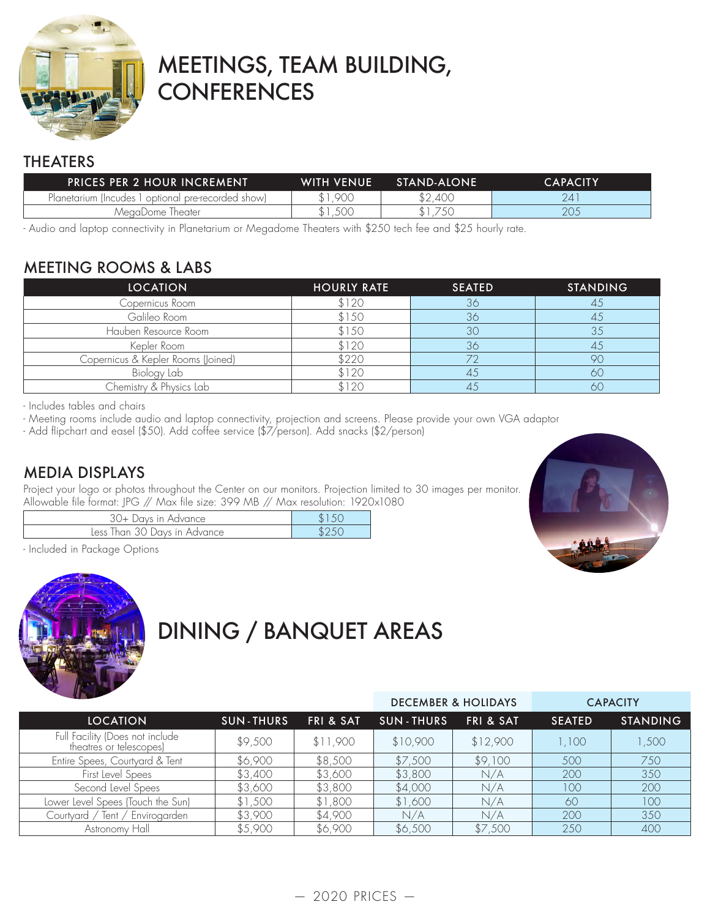

# MEETINGS, TEAM BUILDING, **CONFERENCES**

# THEATERS

| <b>PRICES PER 2 HOUR INCREMENT</b>                 | <b>WITH VENUE</b> | STAND-ALONE | CAPACITY' |
|----------------------------------------------------|-------------------|-------------|-----------|
| Planetarium (Incudes 1 optional pre-recorded show) | .900              | \$2,400     | 74.       |
| MeaaDome Theater                                   | .50C              | .750        | 205       |

- Audio and laptop connectivity in Planetarium or Megadome Theaters with \$250 tech fee and \$25 hourly rate.

# MEETING ROOMS & LABS

| <b>LOCATION</b>                    | <b>HOURLY RATE</b> | <b>SEATED</b> | <b>STANDING</b> |  |
|------------------------------------|--------------------|---------------|-----------------|--|
| Copernicus Room                    | \$120              | 36            |                 |  |
| Galileo Room                       | \$150              | 36            |                 |  |
| Hauben Resource Room               | \$150              |               |                 |  |
| Kepler Room                        | \$120              | 36            |                 |  |
| Copernicus & Kepler Rooms (Joined) | \$220              |               |                 |  |
| Biology Lab                        | \$120              |               | 60              |  |
| Chemistry & Physics Lab            | \$120              |               |                 |  |

- Includes tables and chairs

- Meeting rooms include audio and laptop connectivity, projection and screens. Please provide your own VGA adaptor

- Add flipchart and easel (\$50). Add coffee service (\$7/person). Add snacks (\$2/person)

# MEDIA DISPLAYS

Project your logo or photos throughout the Center on our monitors. Projection limited to 30 images per monitor. Allowable file format: JPG // Max file size: 399 MB // Max resolution: 1920x1080

| Davs in Advance .                    |  |
|--------------------------------------|--|
| 30 Days in Advance<br>Less<br>lhan i |  |

- Included in Package Options



# DINING / BANQUET AREAS

|                                                            |                  |                      | <b>DECEMBER &amp; HOLIDAYS</b> |                      | <b>CAPACITY</b> |                 |
|------------------------------------------------------------|------------------|----------------------|--------------------------------|----------------------|-----------------|-----------------|
| <b>LOCATION</b>                                            | <b>SUN-THURS</b> | <b>FRI &amp; SAT</b> | <b>SUN-THURS</b>               | <b>FRI &amp; SAT</b> | <b>SEATED</b>   | <b>STANDING</b> |
| Full Facility (Does not include<br>theatres or telescopes) | \$9,500          | \$11,900             | \$10,900                       | \$12,900             | 1,100           | 1,500           |
| Entire Spees, Courtyard & Tent                             | \$6,900          | \$8,500              | \$7,500                        | \$9,100              | 500             | 750             |
| First Level Spees                                          | \$3,400          | \$3,600              | \$3,800                        | N/A                  | 200             | 350             |
| Second Level Spees                                         | \$3,600          | \$3,800              | \$4,000                        | N/A                  | 100             | 200             |
| Lower Level Spees (Touch the Sun)                          | \$1,500          | \$1,800              | \$1,600                        | N/A                  | 60              | 100             |
| Envirogarden<br>Courtvard / Tent /                         | \$3,900          | \$4,900              | N/A                            | N/A                  | 200             | 350             |
| Astronomy Hall                                             | \$5,900          | \$6,900              | \$6,500                        | \$7,500              | 250             | 400             |